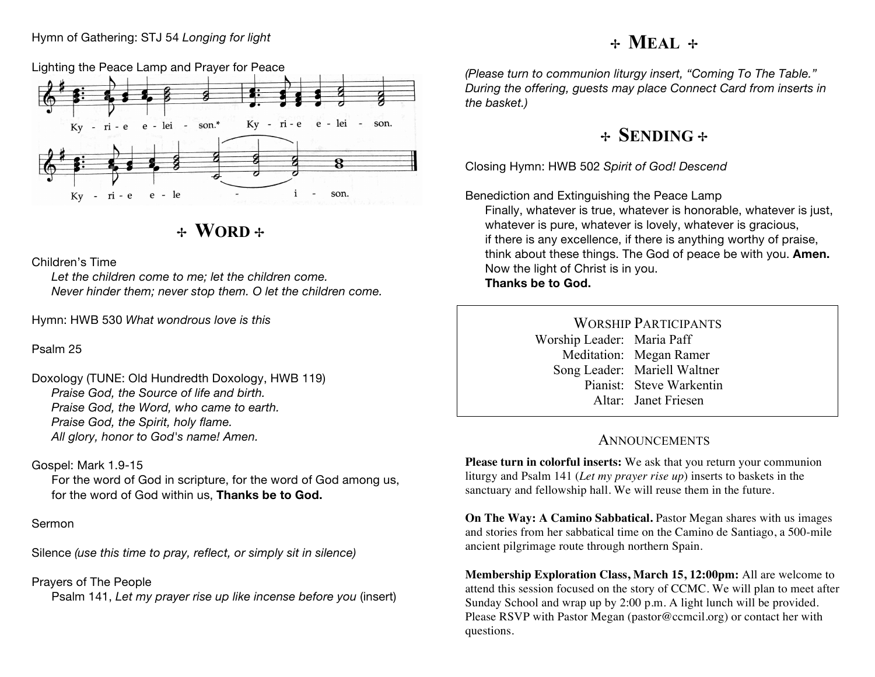#### Hymn of Gathering: STJ 54 *Longing for light*

# ✢ **MEAL** ✢

Lighting the Peace Lamp and Prayer for Peace



✢ **WORD** ✢

Children's Time

*Let the children come to me; let the children come. Never hinder them; never stop them. O let the children come.*

Hymn: HWB 530 *What wondrous love is this*

Psalm 25

Doxology (TUNE: Old Hundredth Doxology, HWB 119) *Praise God, the Source of life and birth. Praise God, the Word, who came to earth. Praise God, the Spirit, holy flame. All glory, honor to God's name! Amen.*

#### Gospel: Mark 1.9-15

For the word of God in scripture, for the word of God among us, for the word of God within us, **Thanks be to God.**

### Sermon

Silence *(use this time to pray, reflect, or simply sit in silence)*

Prayers of The People Psalm 141, *Let my prayer rise up like incense before you* (insert) *(Please turn to communion liturgy insert, "Coming To The Table." During the offering, guests may place Connect Card from inserts in the basket.)*

### ✢ **SENDING** ✢

Closing Hymn: HWB 502 *Spirit of God! Descend*

Benediction and Extinguishing the Peace Lamp

Finally, whatever is true, whatever is honorable, whatever is just, whatever is pure, whatever is lovely, whatever is gracious, if there is any excellence, if there is anything worthy of praise, think about these things. The God of peace be with you. **Amen.** Now the light of Christ is in you. **Thanks be to God.**

> WORSHIP PARTICIPANTS Worship Leader: Maria Paff Meditation: Megan Ramer Song Leader: Mariell Waltner Pianist: Steve Warkentin Altar: Janet Friesen

### **ANNOUNCEMENTS**

**Please turn in colorful inserts:** We ask that you return your communion liturgy and Psalm 141 (*Let my prayer rise up*) inserts to baskets in the sanctuary and fellowship hall. We will reuse them in the future.

**On The Way: A Camino Sabbatical.** Pastor Megan shares with us images and stories from her sabbatical time on the Camino de Santiago, a 500-mile ancient pilgrimage route through northern Spain.

**Membership Exploration Class, March 15, 12:00pm:** All are welcome to attend this session focused on the story of CCMC. We will plan to meet after Sunday School and wrap up by 2:00 p.m. A light lunch will be provided. Please RSVP with Pastor Megan (pastor@ccmcil.org) or contact her with questions.